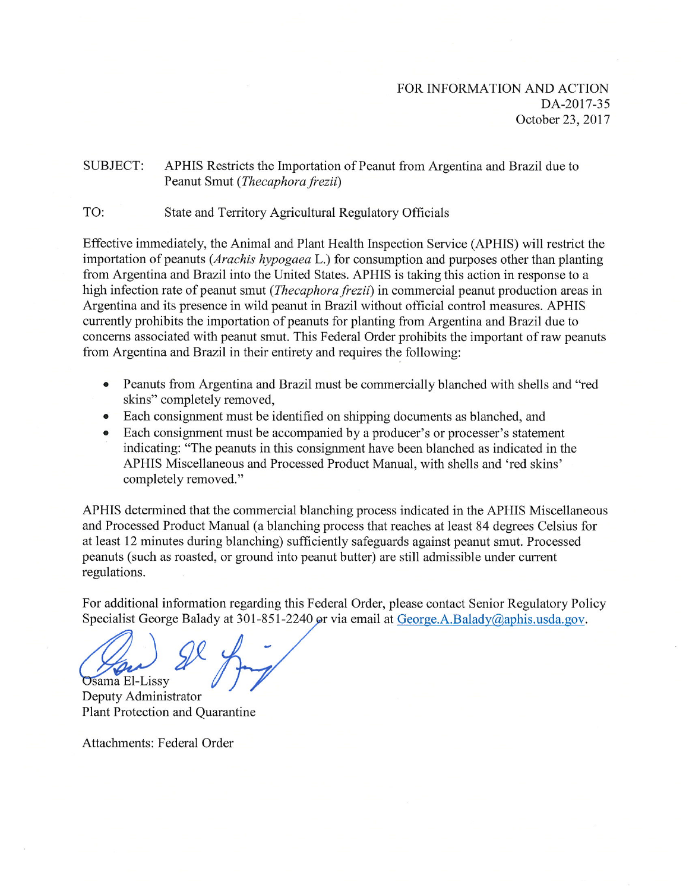## **SUBJECT:** APHIS Restricts the Importation of Peanut from Argentina and Brazil due to Peanut Smut (Thecaphora frezii)

## TO: State and Territory Agricultural Regulatory Officials

Effective immediately, the Animal and Plant Health Inspection Service (APHIS) will restrict the importation of peanuts (Arachis hypogaea L.) for consumption and purposes other than planting from Argentina and Brazil into the United States. APHIS is taking this action in response to a high infection rate of peanut smut (*Thecaphora frezii*) in commercial peanut production areas in Argentina and its presence in wild peanut in Brazil without official control measures. APHIS currently prohibits the importation of peanuts for planting from Argentina and Brazil due to concerns associated with peanut smut. This Federal Order prohibits the important of raw peanuts from Argentina and Brazil in their entirety and requires the following:

- Peanuts from Argentina and Brazil must be commercially blanched with shells and "red skins" completely removed,
- Each consignment must be identified on shipping documents as blanched, and
- Each consignment must be accompanied by a producer's or processer's statement  $\bullet$ indicating: "The peanuts in this consignment have been blanched as indicated in the APHIS Miscellaneous and Processed Product Manual, with shells and 'red skins' completely removed."

APHIS determined that the commercial blanching process indicated in the APHIS Miscellaneous and Processed Product Manual (a blanching process that reaches at least 84 degrees Celsius for at least 12 minutes during blanching) sufficiently safeguards against peanut smut. Processed peanuts (such as roasted, or ground into peanut butter) are still admissible under current regulations.

For additional information regarding this Federal Order, please contact Senior Regulatory Policy Specialist George Balady at 301-851-2240 or via email at George.A.Balady@aphis.usda.gov.

**Osama El-Lissy** 

Deputy Administrator Plant Protection and Quarantine

Attachments: Federal Order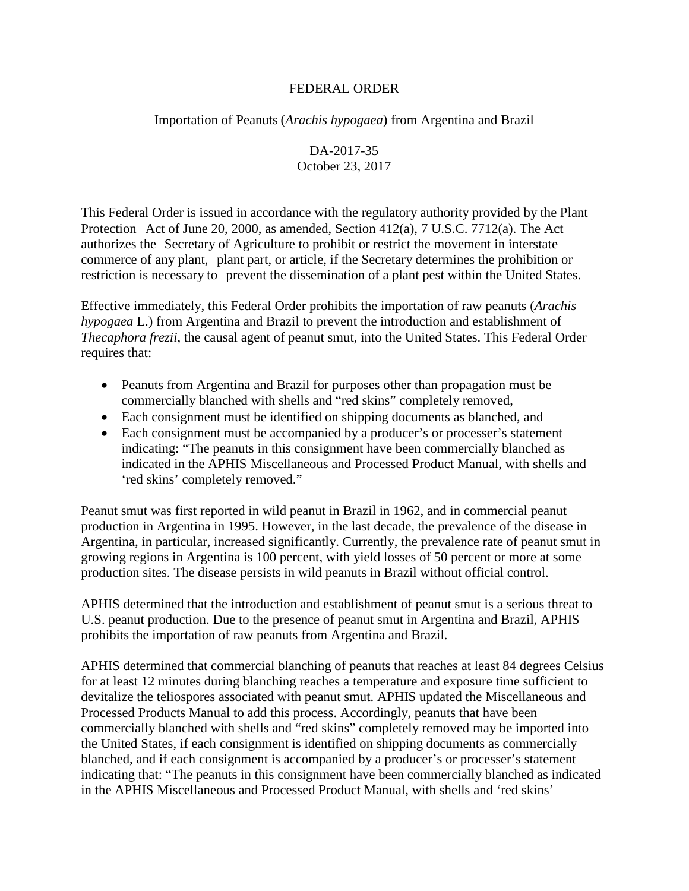## FEDERAL ORDER

Importation of Peanuts (*Arachis hypogaea*) from Argentina and Brazil

DA-2017-35 October 23, 2017

This Federal Order is issued in accordance with the regulatory authority provided by the Plant Protection Act of June 20, 2000, as amended, Section 412(a), 7 U.S.C. 7712(a). The Act authorizes the Secretary of Agriculture to prohibit or restrict the movement in interstate commerce of any plant, plant part, or article, if the Secretary determines the prohibition or restriction is necessary to prevent the dissemination of a plant pest within the United States.

Effective immediately, this Federal Order prohibits the importation of raw peanuts (*Arachis hypogaea* L.) from Argentina and Brazil to prevent the introduction and establishment of *Thecaphora frezii*, the causal agent of peanut smut, into the United States. This Federal Order requires that:

- Peanuts from Argentina and Brazil for purposes other than propagation must be commercially blanched with shells and "red skins" completely removed,
- Each consignment must be identified on shipping documents as blanched, and
- Each consignment must be accompanied by a producer's or processer's statement indicating: "The peanuts in this consignment have been commercially blanched as indicated in the APHIS Miscellaneous and Processed Product Manual, with shells and 'red skins' completely removed."

Peanut smut was first reported in wild peanut in Brazil in 1962, and in commercial peanut production in Argentina in 1995. However, in the last decade, the prevalence of the disease in Argentina, in particular, increased significantly. Currently, the prevalence rate of peanut smut in growing regions in Argentina is 100 percent, with yield losses of 50 percent or more at some production sites. The disease persists in wild peanuts in Brazil without official control.

APHIS determined that the introduction and establishment of peanut smut is a serious threat to U.S. peanut production. Due to the presence of peanut smut in Argentina and Brazil, APHIS prohibits the importation of raw peanuts from Argentina and Brazil.

APHIS determined that commercial blanching of peanuts that reaches at least 84 degrees Celsius for at least 12 minutes during blanching reaches a temperature and exposure time sufficient to devitalize the teliospores associated with peanut smut. APHIS updated the Miscellaneous and Processed Products Manual to add this process. Accordingly, peanuts that have been commercially blanched with shells and "red skins" completely removed may be imported into the United States, if each consignment is identified on shipping documents as commercially blanched, and if each consignment is accompanied by a producer's or processer's statement indicating that: "The peanuts in this consignment have been commercially blanched as indicated in the APHIS Miscellaneous and Processed Product Manual, with shells and 'red skins'